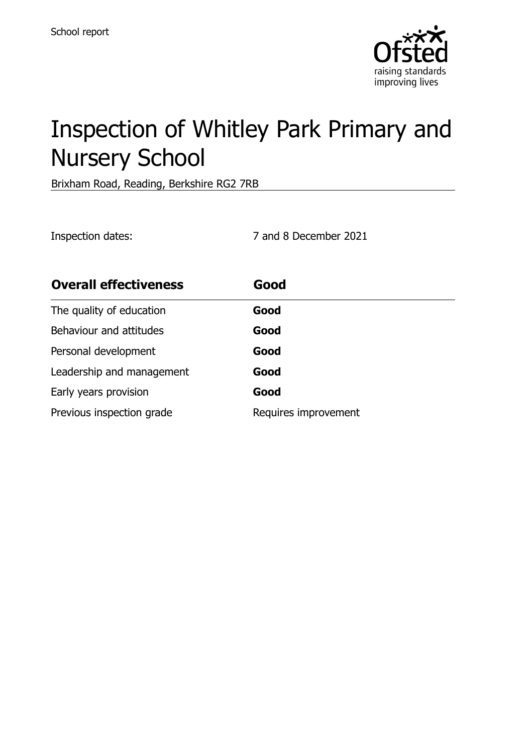

# Inspection of Whitley Park Primary and Nursery School

Brixham Road, Reading, Berkshire RG2 7RB

Inspection dates: 7 and 8 December 2021

| <b>Overall effectiveness</b> | Good                 |
|------------------------------|----------------------|
| The quality of education     | Good                 |
| Behaviour and attitudes      | Good                 |
| Personal development         | Good                 |
| Leadership and management    | Good                 |
| Early years provision        | Good                 |
| Previous inspection grade    | Requires improvement |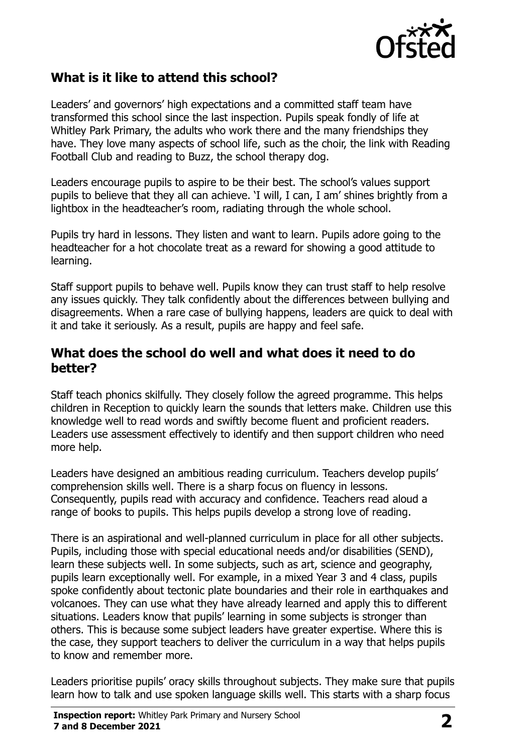

## **What is it like to attend this school?**

Leaders' and governors' high expectations and a committed staff team have transformed this school since the last inspection. Pupils speak fondly of life at Whitley Park Primary, the adults who work there and the many friendships they have. They love many aspects of school life, such as the choir, the link with Reading Football Club and reading to Buzz, the school therapy dog.

Leaders encourage pupils to aspire to be their best. The school's values support pupils to believe that they all can achieve. 'I will, I can, I am' shines brightly from a lightbox in the headteacher's room, radiating through the whole school.

Pupils try hard in lessons. They listen and want to learn. Pupils adore going to the headteacher for a hot chocolate treat as a reward for showing a good attitude to learning.

Staff support pupils to behave well. Pupils know they can trust staff to help resolve any issues quickly. They talk confidently about the differences between bullying and disagreements. When a rare case of bullying happens, leaders are quick to deal with it and take it seriously. As a result, pupils are happy and feel safe.

#### **What does the school do well and what does it need to do better?**

Staff teach phonics skilfully. They closely follow the agreed programme. This helps children in Reception to quickly learn the sounds that letters make. Children use this knowledge well to read words and swiftly become fluent and proficient readers. Leaders use assessment effectively to identify and then support children who need more help.

Leaders have designed an ambitious reading curriculum. Teachers develop pupils' comprehension skills well. There is a sharp focus on fluency in lessons. Consequently, pupils read with accuracy and confidence. Teachers read aloud a range of books to pupils. This helps pupils develop a strong love of reading.

There is an aspirational and well-planned curriculum in place for all other subjects. Pupils, including those with special educational needs and/or disabilities (SEND), learn these subjects well. In some subjects, such as art, science and geography, pupils learn exceptionally well. For example, in a mixed Year 3 and 4 class, pupils spoke confidently about tectonic plate boundaries and their role in earthquakes and volcanoes. They can use what they have already learned and apply this to different situations. Leaders know that pupils' learning in some subjects is stronger than others. This is because some subject leaders have greater expertise. Where this is the case, they support teachers to deliver the curriculum in a way that helps pupils to know and remember more.

Leaders prioritise pupils' oracy skills throughout subjects. They make sure that pupils learn how to talk and use spoken language skills well. This starts with a sharp focus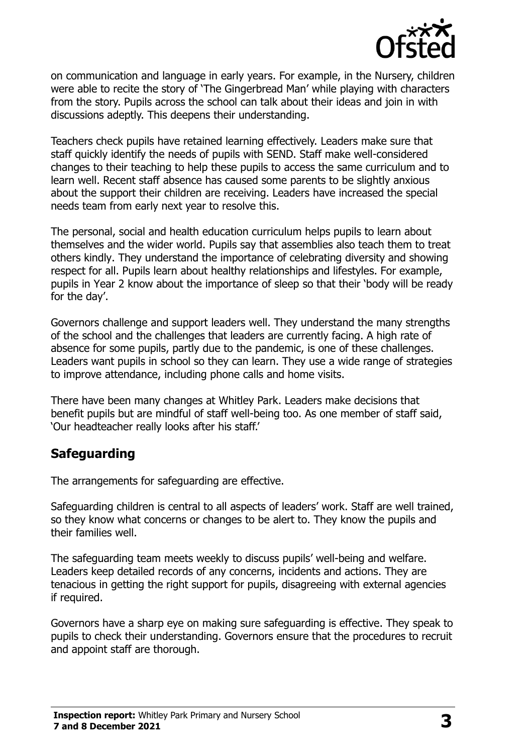

on communication and language in early years. For example, in the Nursery, children were able to recite the story of 'The Gingerbread Man' while playing with characters from the story. Pupils across the school can talk about their ideas and join in with discussions adeptly. This deepens their understanding.

Teachers check pupils have retained learning effectively. Leaders make sure that staff quickly identify the needs of pupils with SEND. Staff make well-considered changes to their teaching to help these pupils to access the same curriculum and to learn well. Recent staff absence has caused some parents to be slightly anxious about the support their children are receiving. Leaders have increased the special needs team from early next year to resolve this.

The personal, social and health education curriculum helps pupils to learn about themselves and the wider world. Pupils say that assemblies also teach them to treat others kindly. They understand the importance of celebrating diversity and showing respect for all. Pupils learn about healthy relationships and lifestyles. For example, pupils in Year 2 know about the importance of sleep so that their 'body will be ready for the day'.

Governors challenge and support leaders well. They understand the many strengths of the school and the challenges that leaders are currently facing. A high rate of absence for some pupils, partly due to the pandemic, is one of these challenges. Leaders want pupils in school so they can learn. They use a wide range of strategies to improve attendance, including phone calls and home visits.

There have been many changes at Whitley Park. Leaders make decisions that benefit pupils but are mindful of staff well-being too. As one member of staff said, 'Our headteacher really looks after his staff.'

## **Safeguarding**

The arrangements for safeguarding are effective.

Safeguarding children is central to all aspects of leaders' work. Staff are well trained, so they know what concerns or changes to be alert to. They know the pupils and their families well.

The safeguarding team meets weekly to discuss pupils' well-being and welfare. Leaders keep detailed records of any concerns, incidents and actions. They are tenacious in getting the right support for pupils, disagreeing with external agencies if required.

Governors have a sharp eye on making sure safeguarding is effective. They speak to pupils to check their understanding. Governors ensure that the procedures to recruit and appoint staff are thorough.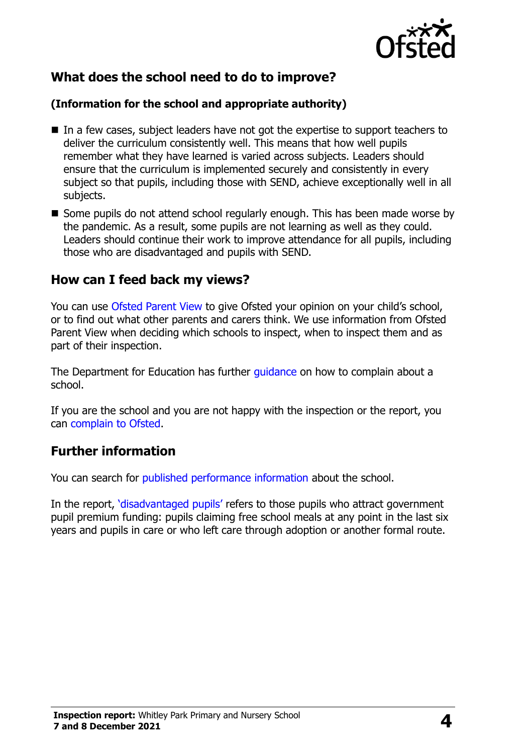

## **What does the school need to do to improve?**

#### **(Information for the school and appropriate authority)**

- In a few cases, subject leaders have not got the expertise to support teachers to deliver the curriculum consistently well. This means that how well pupils remember what they have learned is varied across subjects. Leaders should ensure that the curriculum is implemented securely and consistently in every subject so that pupils, including those with SEND, achieve exceptionally well in all subjects.
- Some pupils do not attend school regularly enough. This has been made worse by the pandemic. As a result, some pupils are not learning as well as they could. Leaders should continue their work to improve attendance for all pupils, including those who are disadvantaged and pupils with SEND.

#### **How can I feed back my views?**

You can use [Ofsted Parent View](http://parentview.ofsted.gov.uk/) to give Ofsted your opinion on your child's school, or to find out what other parents and carers think. We use information from Ofsted Parent View when deciding which schools to inspect, when to inspect them and as part of their inspection.

The Department for Education has further quidance on how to complain about a school.

If you are the school and you are not happy with the inspection or the report, you can [complain to Ofsted.](http://www.gov.uk/complain-ofsted-report)

### **Further information**

You can search for [published performance information](http://www.compare-school-performance.service.gov.uk/) about the school.

In the report, '[disadvantaged pupils](http://www.gov.uk/guidance/pupil-premium-information-for-schools-and-alternative-provision-settings)' refers to those pupils who attract government pupil premium funding: pupils claiming free school meals at any point in the last six years and pupils in care or who left care through adoption or another formal route.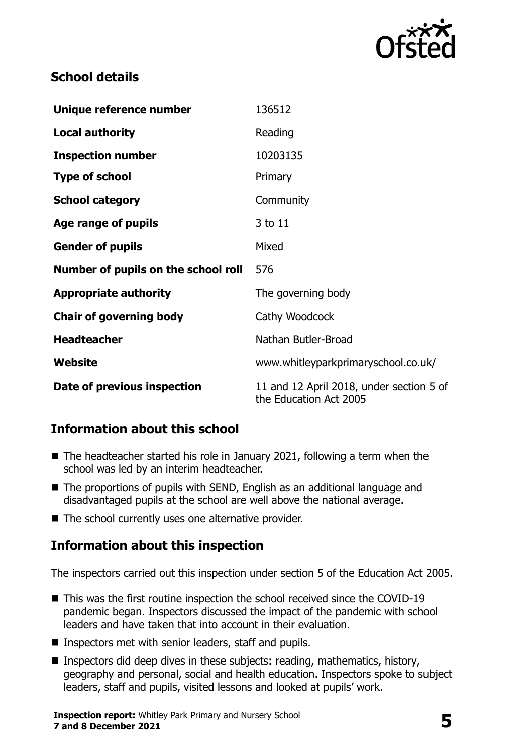

## **School details**

| Unique reference number             | 136512                                                             |  |
|-------------------------------------|--------------------------------------------------------------------|--|
| <b>Local authority</b>              | Reading                                                            |  |
| <b>Inspection number</b>            | 10203135                                                           |  |
| <b>Type of school</b>               | Primary                                                            |  |
| <b>School category</b>              | Community                                                          |  |
| Age range of pupils                 | 3 to 11                                                            |  |
| <b>Gender of pupils</b>             | Mixed                                                              |  |
| Number of pupils on the school roll | 576                                                                |  |
| <b>Appropriate authority</b>        | The governing body                                                 |  |
| <b>Chair of governing body</b>      | Cathy Woodcock                                                     |  |
| <b>Headteacher</b>                  | Nathan Butler-Broad                                                |  |
| Website                             | www.whitleyparkprimaryschool.co.uk/                                |  |
| Date of previous inspection         | 11 and 12 April 2018, under section 5 of<br>the Education Act 2005 |  |

## **Information about this school**

- The headteacher started his role in January 2021, following a term when the school was led by an interim headteacher.
- The proportions of pupils with SEND, English as an additional language and disadvantaged pupils at the school are well above the national average.
- The school currently uses one alternative provider.

## **Information about this inspection**

The inspectors carried out this inspection under section 5 of the Education Act 2005.

- This was the first routine inspection the school received since the COVID-19 pandemic began. Inspectors discussed the impact of the pandemic with school leaders and have taken that into account in their evaluation.
- **Inspectors met with senior leaders, staff and pupils.**
- **Inspectors did deep dives in these subjects: reading, mathematics, history,** geography and personal, social and health education. Inspectors spoke to subject leaders, staff and pupils, visited lessons and looked at pupils' work.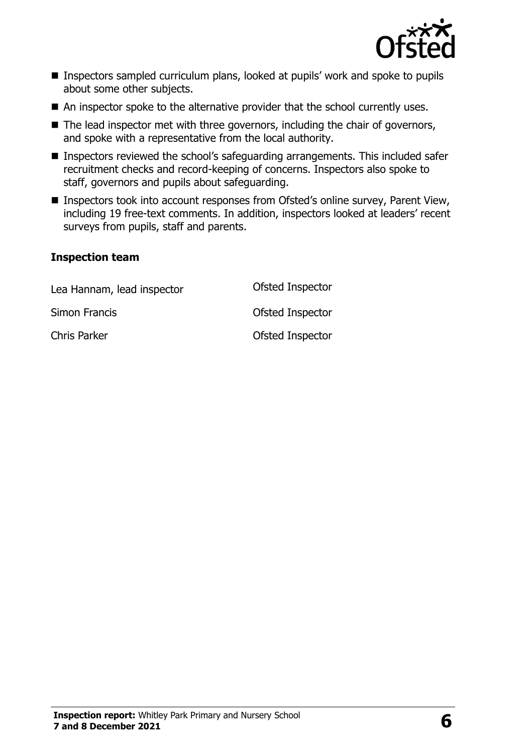

- Inspectors sampled curriculum plans, looked at pupils' work and spoke to pupils about some other subjects.
- An inspector spoke to the alternative provider that the school currently uses.
- $\blacksquare$  The lead inspector met with three governors, including the chair of governors, and spoke with a representative from the local authority.
- Inspectors reviewed the school's safeguarding arrangements. This included safer recruitment checks and record-keeping of concerns. Inspectors also spoke to staff, governors and pupils about safeguarding.
- Inspectors took into account responses from Ofsted's online survey, Parent View, including 19 free-text comments. In addition, inspectors looked at leaders' recent surveys from pupils, staff and parents.

#### **Inspection team**

| Lea Hannam, lead inspector | Ofsted Inspector |
|----------------------------|------------------|
| Simon Francis              | Ofsted Inspector |
| Chris Parker               | Ofsted Inspector |